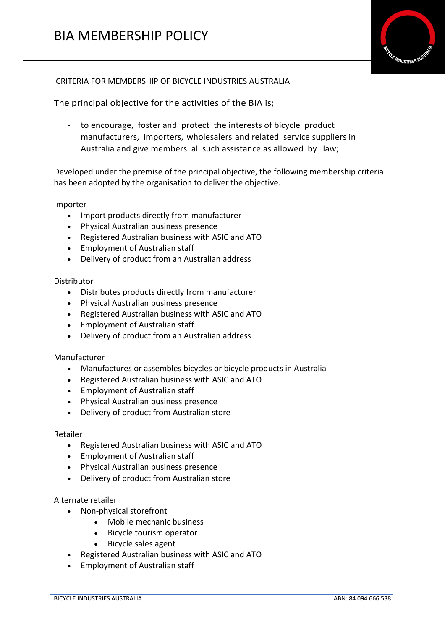

# CRITERIA FOR MEMBERSHIP OF BICYCLE INDUSTRIES AUSTRALIA

The principal objective for the activities of the BIA is;

- to encourage, foster and protect the interests of bicycle product manufacturers, importers, wholesalers and related service suppliers in Australia and give members all such assistance as allowed by law;

Developed under the premise of the principal objective, the following membership criteria has been adopted by the organisation to deliver the objective.

## Importer

- Import products directly from manufacturer
- Physical Australian business presence
- Registered Australian business with ASIC and ATO
- Employment of Australian staff
- Delivery of product from an Australian address

## Distributor

- Distributes products directly from manufacturer
- Physical Australian business presence
- Registered Australian business with ASIC and ATO
- Employment of Australian staff
- Delivery of product from an Australian address

# Manufacturer

- Manufactures or assembles bicycles or bicycle products in Australia
- Registered Australian business with ASIC and ATO
- Employment of Australian staff
- Physical Australian business presence
- Delivery of product from Australian store

#### Retailer

- Registered Australian business with ASIC and ATO
- Employment of Australian staff
- Physical Australian business presence
- Delivery of product from Australian store

# Alternate retailer

- Non-physical storefront
	- Mobile mechanic business
	- Bicycle tourism operator
	- Bicycle sales agent
- Registered Australian business with ASIC and ATO
- Employment of Australian staff